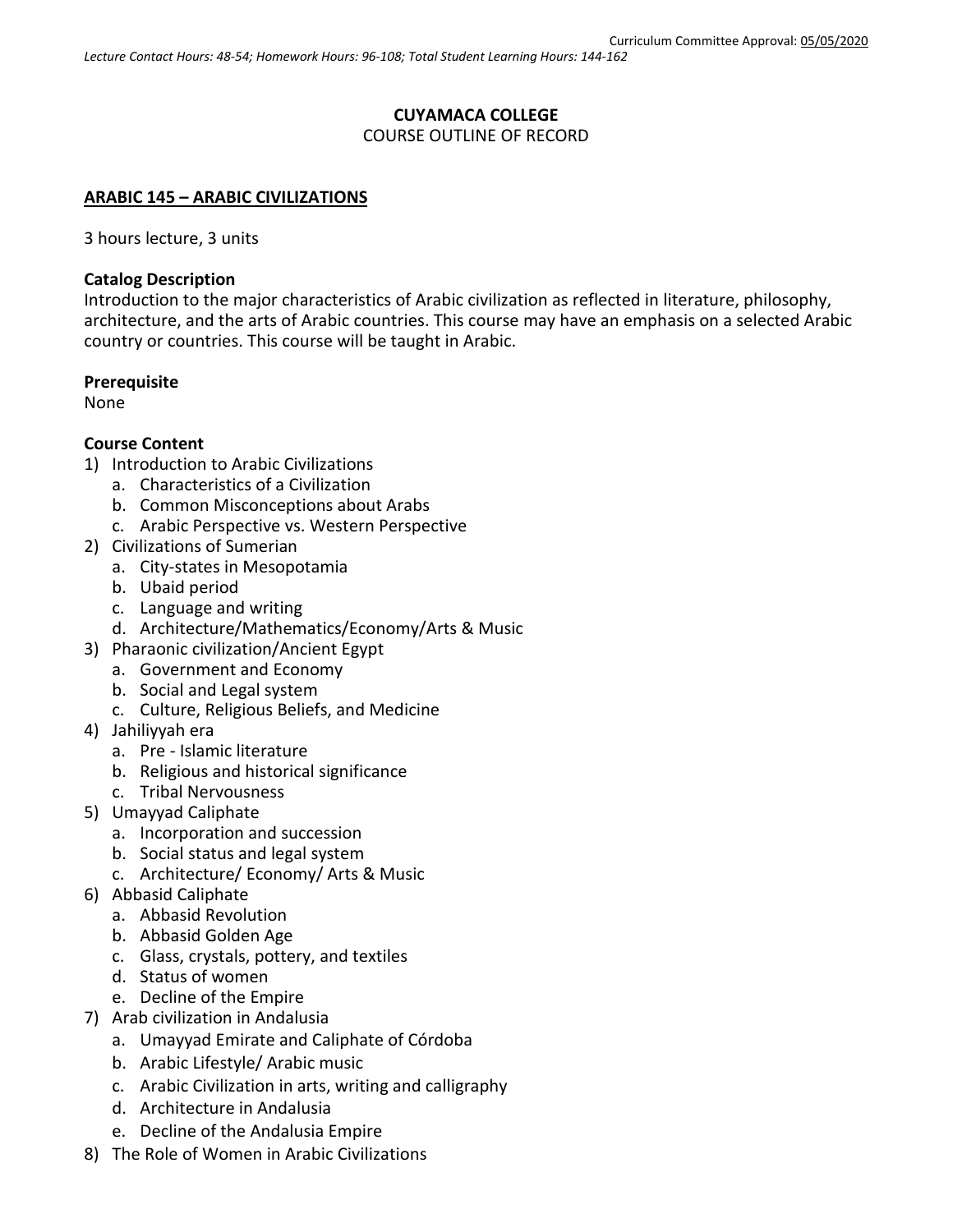# **CUYAMACA COLLEGE** COURSE OUTLINE OF RECORD

#### **ARABIC 145 – ARABIC CIVILIZATIONS**

3 hours lecture, 3 units

#### **Catalog Description**

Introduction to the major characteristics of Arabic civilization as reflected in literature, philosophy, architecture, and the arts of Arabic countries. This course may have an emphasis on a selected Arabic country or countries. This course will be taught in Arabic.

#### **Prerequisite**

None

## **Course Content**

- 1) Introduction to Arabic Civilizations
	- a. Characteristics of a Civilization
	- b. Common Misconceptions about Arabs
	- c. Arabic Perspective vs. Western Perspective
- 2) Civilizations of Sumerian
	- a. City-states in Mesopotamia
	- b. Ubaid period
	- c. Language and writing
	- d. Architecture/Mathematics/Economy/Arts & Music
- 3) Pharaonic civilization/Ancient Egypt
	- a. Government and Economy
	- b. Social and Legal system
	- c. Culture, Religious Beliefs, and Medicine
- 4) Jahiliyyah era
	- a. Pre Islamic literature
	- b. Religious and historical significance
	- c. Tribal Nervousness
- 5) Umayyad Caliphate
	- a. Incorporation and succession
	- b. Social status and legal system
	- c. Architecture/ Economy/ Arts & Music
- 6) Abbasid Caliphate
	- a. Abbasid Revolution
	- b. Abbasid Golden Age
	- c. Glass, crystals, pottery, and textiles
	- d. [Status of women](https://en.wikipedia.org/wiki/Abbasid_Caliphate#Status_of_women)
	- e. [Decline of the Empire](https://en.wikipedia.org/wiki/Abbasid_Caliphate#Decline_of_the_empire)
- 7) Arab civilization in Andalusia
	- a. Umayyad Emirate and Caliphate of Córdoba
	- b. Arabic Lifestyle/ Arabic music
	- c. Arabic Civilization in arts, writing and calligraphy
	- d. Architecture in Andalusia
	- e. Decline of the Andalusia Empire
- 8) The Role of Women in Arabic Civilizations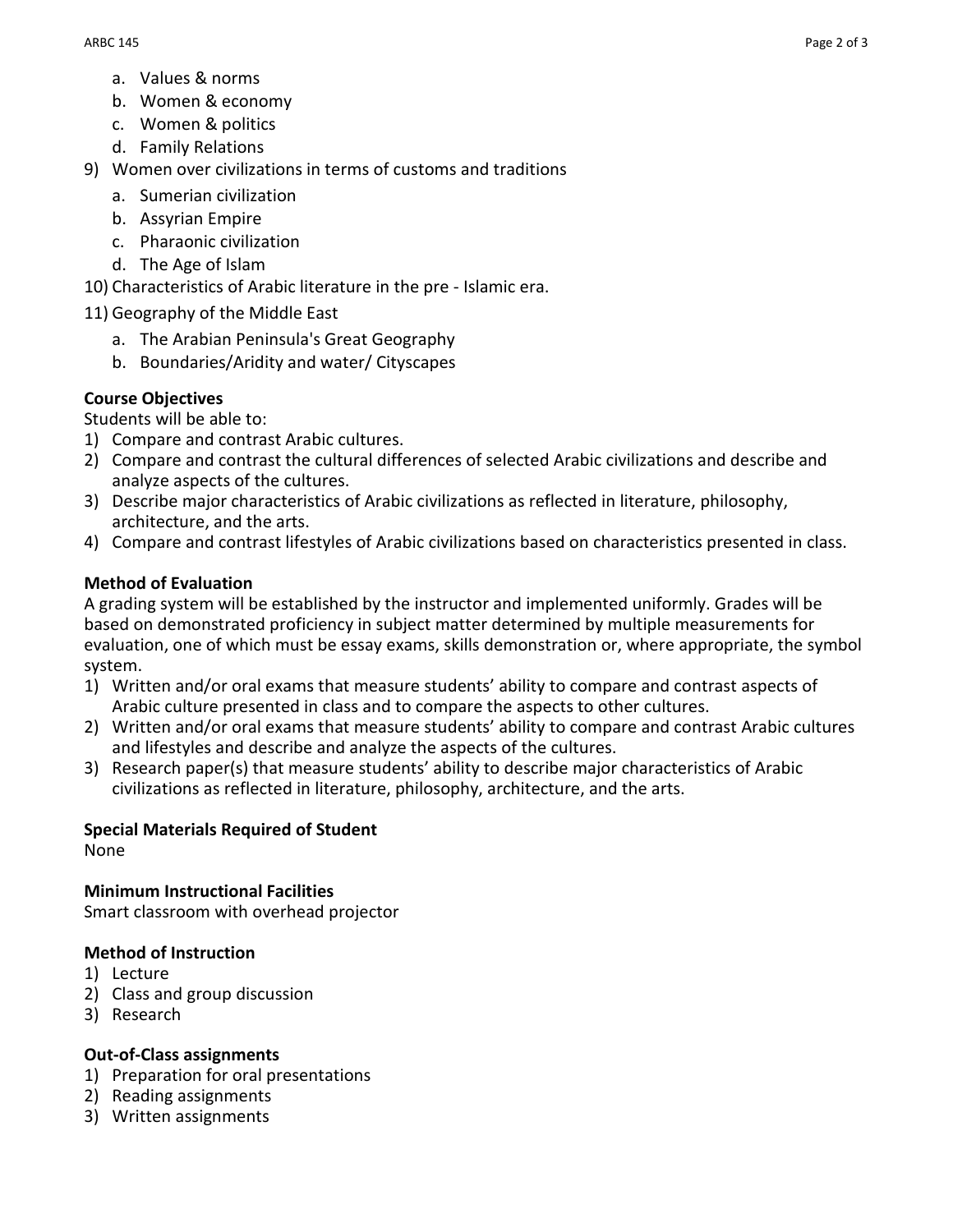- a. Values & norms
- b. Women & economy
- c. Women & politics
- d. Family Relations
- 9) Women over civilizations in terms of customs and traditions
	- a. Sumerian civilization
	- b. Assyrian Empire
	- c. Pharaonic civilization
	- d. The Age of Islam

10) Characteristics of Arabic literature in the pre - Islamic era.

11) Geography of the Middle East

- a. The Arabian Peninsula's Great Geography
- b. Boundaries/Aridity and water/ Cityscapes

## **Course Objectives**

Students will be able to:

- 1) Compare and contrast Arabic cultures.
- 2) Compare and contrast the cultural differences of selected Arabic civilizations and describe and analyze aspects of the cultures.
- 3) Describe major characteristics of Arabic civilizations as reflected in literature, philosophy, architecture, and the arts.
- 4) Compare and contrast lifestyles of Arabic civilizations based on characteristics presented in class.

#### **Method of Evaluation**

A grading system will be established by the instructor and implemented uniformly. Grades will be based on demonstrated proficiency in subject matter determined by multiple measurements for evaluation, one of which must be essay exams, skills demonstration or, where appropriate, the symbol system.

- 1) Written and/or oral exams that measure students' ability to compare and contrast aspects of Arabic culture presented in class and to compare the aspects to other cultures.
- 2) Written and/or oral exams that measure students' ability to compare and contrast Arabic cultures and lifestyles and describe and analyze the aspects of the cultures.
- 3) Research paper(s) that measure students' ability to describe major characteristics of Arabic civilizations as reflected in literature, philosophy, architecture, and the arts.

#### **Special Materials Required of Student**

None

**Minimum Instructional Facilities** Smart classroom with overhead projector

#### **Method of Instruction**

- 1) Lecture
- 2) Class and group discussion
- 3) Research

#### **Out-of-Class assignments**

- 1) Preparation for oral presentations
- 2) Reading assignments
- 3) Written assignments